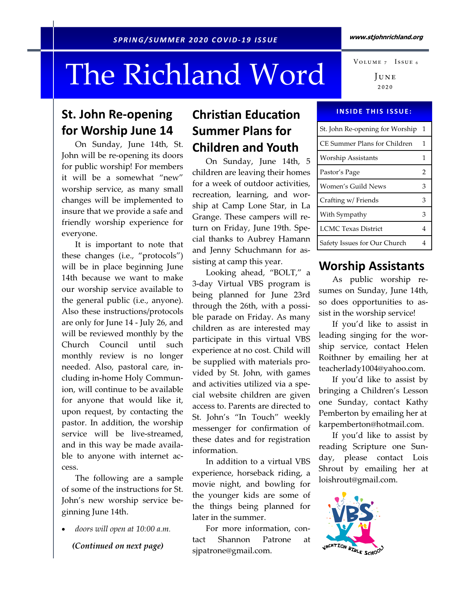# The Richland Word

## St. John Re-opening for Worship June 14

 On Sunday, June 14th, St. John will be re-opening its doors for public worship! For members it will be a somewhat "new" worship service, as many small changes will be implemented to insure that we provide a safe and friendly worship experience for everyone.

 It is important to note that these changes (i.e., "protocols") will be in place beginning June 14th because we want to make our worship service available to the general public (i.e., anyone). Also these instructions/protocols are only for June 14 - July 26, and will be reviewed monthly by the Church Council until such monthly review is no longer needed. Also, pastoral care, including in-home Holy Communion, will continue to be available for anyone that would like it, upon request, by contacting the pastor. In addition, the worship service will be live-streamed, and in this way be made available to anyone with internet access.

 The following are a sample of some of the instructions for St. John's new worship service beginning June 14th.

doors will open at 10:00 a.m.

(Continued on next page)

# **Christian Education** Summer Plans for Children and Youth

 On Sunday, June 14th, 5 children are leaving their homes for a week of outdoor activities, recreation, learning, and worship at Camp Lone Star, in La Grange. These campers will return on Friday, June 19th. Special thanks to Aubrey Hamann and Jenny Schuchmann for assisting at camp this year.

 Looking ahead, "BOLT," a 3-day Virtual VBS program is being planned for June 23rd through the 26th, with a possible parade on Friday. As many children as are interested may participate in this virtual VBS experience at no cost. Child will be supplied with materials provided by St. John, with games and activities utilized via a special website children are given access to. Parents are directed to St. John's "In Touch" weekly messenger for confirmation of these dates and for registration information.

 In addition to a virtual VBS experience, horseback riding, a movie night, and bowling for the younger kids are some of the things being planned for later in the summer.

 For more information, contact Shannon Patrone at sjpatrone@gmail.com.

JUNE  $2020$ 

#### **INSIDE THIS ISSUE:**

| St. John Re-opening for Worship | -1 |
|---------------------------------|----|
| CE Summer Plans for Children    | 1  |
| Worship Assistants              | 1  |
| Pastor's Page                   | 2  |
| Women's Guild News              | 3  |
| Crafting w/ Friends             | 3  |
| With Sympathy                   | 3  |
| <b>LCMC</b> Texas District      | 4  |
| Safety Issues for Our Church    |    |

#### Worship Assistants

As public worship resumes on Sunday, June 14th, so does opportunities to assist in the worship service!

 If you'd like to assist in leading singing for the worship service, contact Helen Roithner by emailing her at teacherlady1004@yahoo.com.

 If you'd like to assist by bringing a Children's Lesson one Sunday, contact Kathy Pemberton by emailing her at karpemberton@hotmail.com.

 If you'd like to assist by reading Scripture one Sunday, please contact Lois Shrout by emailing her at loishrout@gmail.com.



VOLUME 7 ISSUE 6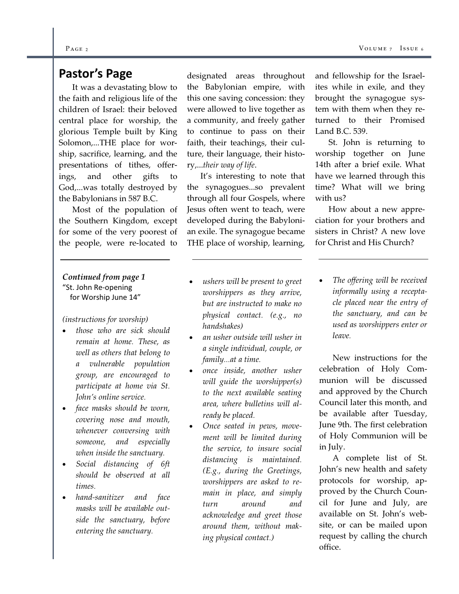### Pastor's Page

 It was a devastating blow to the faith and religious life of the children of Israel: their beloved central place for worship, the glorious Temple built by King Solomon,...THE place for worship, sacrifice, learning, and the presentations of tithes, offerings, and other gifts to God,...was totally destroyed by the Babylonians in 587 B.C.

 Most of the population of the Southern Kingdom, except for some of the very poorest of the people, were re-located to

#### Continued from page 1 "St. John Re-opening for Worship June 14"

#### (instructions for worship)

- those who are sick should remain at home. These, as well as others that belong to a vulnerable population group, are encouraged to participate at home via St. John's online service.
- face masks should be worn, covering nose and mouth, whenever conversing with someone, and especially when inside the sanctuary.
- Social distancing of 6ft should be observed at all times.
- hand-sanitizer and face masks will be available outside the sanctuary, before entering the sanctuary.

designated areas throughout the Babylonian empire, with this one saving concession: they were allowed to live together as a community, and freely gather to continue to pass on their faith, their teachings, their culture, their language, their history,...their way of life.

 It's interesting to note that the synagogues...so prevalent through all four Gospels, where Jesus often went to teach, were developed during the Babylonian exile. The synagogue became THE place of worship, learning,

- ushers will be present to greet worshippers as they arrive, but are instructed to make no physical contact. (e.g., no handshakes)
- an usher outside will usher in a single individual, couple, or family...at a time.
- once inside, another usher will guide the worshipper(s) to the next available seating area, where bulletins will already be placed.
- Once seated in pews, movement will be limited during the service, to insure social distancing is maintained. (E.g., during the Greetings, worshippers are asked to remain in place, and simply turn around and acknowledge and greet those around them, without making physical contact.)

and fellowship for the Israelites while in exile, and they brought the synagogue system with them when they returned to their Promised Land B.C. 539.

 St. John is returning to worship together on June 14th after a brief exile. What have we learned through this time? What will we bring with us?

 How about a new appreciation for your brothers and sisters in Christ? A new love for Christ and His Church?

 The offering will be received informally using a receptacle placed near the entry of the sanctuary, and can be used as worshippers enter or leave.

 New instructions for the celebration of Holy Communion will be discussed and approved by the Church Council later this month, and be available after Tuesday, June 9th. The first celebration of Holy Communion will be in July.

 A complete list of St. John's new health and safety protocols for worship, approved by the Church Council for June and July, are available on St. John's website, or can be mailed upon request by calling the church office.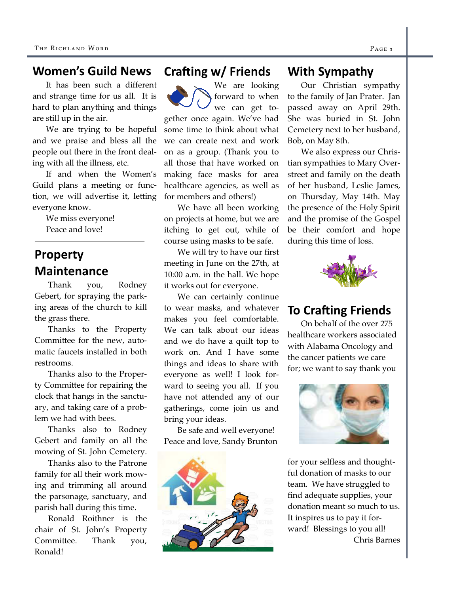### Women's Guild News

 It has been such a different and strange time for us all. It is hard to plan anything and things are still up in the air.

 We are trying to be hopeful and we praise and bless all the people out there in the front dealing with all the illness, etc.

 If and when the Women's Guild plans a meeting or function, we will advertise it, letting everyone know.

> We miss everyone! Peace and love!

# Property Maintenance

 Thank you, Rodney Gebert, for spraying the parking areas of the church to kill the grass there.

 Thanks to the Property Committee for the new, automatic faucets installed in both restrooms.

 Thanks also to the Property Committee for repairing the clock that hangs in the sanctuary, and taking care of a problem we had with bees.

 Thanks also to Rodney Gebert and family on all the mowing of St. John Cemetery.

 Thanks also to the Patrone family for all their work mowing and trimming all around the parsonage, sanctuary, and parish hall during this time.

 Ronald Roithner is the chair of St. John's Property Committee. Thank you, Ronald!

### Crafting w/ Friends

We are looking forward to when we can get together once again. We've had some time to think about what we can create next and work on as a group. (Thank you to all those that have worked on making face masks for area healthcare agencies, as well as for members and others!)

 We have all been working on projects at home, but we are itching to get out, while of course using masks to be safe.

 We will try to have our first meeting in June on the 27th, at 10:00 a.m. in the hall. We hope it works out for everyone.

 We can certainly continue to wear masks, and whatever makes you feel comfortable. We can talk about our ideas and we do have a quilt top to work on. And I have some things and ideas to share with everyone as well! I look forward to seeing you all. If you have not attended any of our gatherings, come join us and bring your ideas.

 Be safe and well everyone! Peace and love, Sandy Brunton



#### With Sympathy

 Our Christian sympathy to the family of Jan Prater. Jan passed away on April 29th. She was buried in St. John Cemetery next to her husband, Bob, on May 8th.

 We also express our Christian sympathies to Mary Overstreet and family on the death of her husband, Leslie James, on Thursday, May 14th. May the presence of the Holy Spirit and the promise of the Gospel be their comfort and hope during this time of loss.



## **To Crafting Friends**

On behalf of the over 275 healthcare workers associated with Alabama Oncology and the cancer patients we care for; we want to say thank you



for your selfless and thoughtful donation of masks to our team. We have struggled to find adequate supplies, your donation meant so much to us. It inspires us to pay it forward! Blessings to you all! Chris Barnes